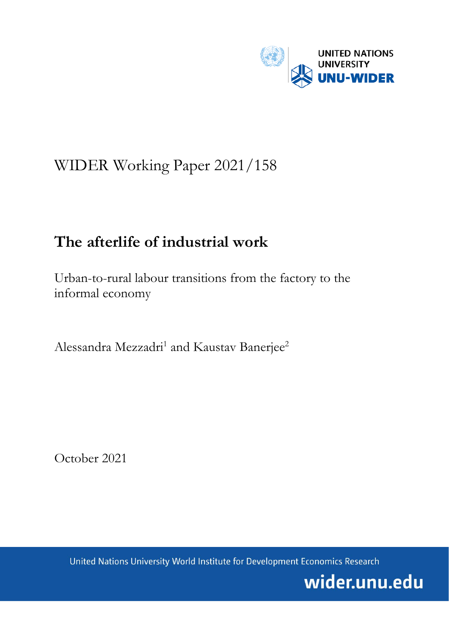

# WIDER Working Paper 2021/158

# **The afterlife of industrial work**

Urban-to-rural labour transitions from the factory to the informal economy

Alessandra Mezzadri<sup>1</sup> and Kaustav Banerjee<sup>2</sup>

October 2021

United Nations University World Institute for Development Economics Research

wider.unu.edu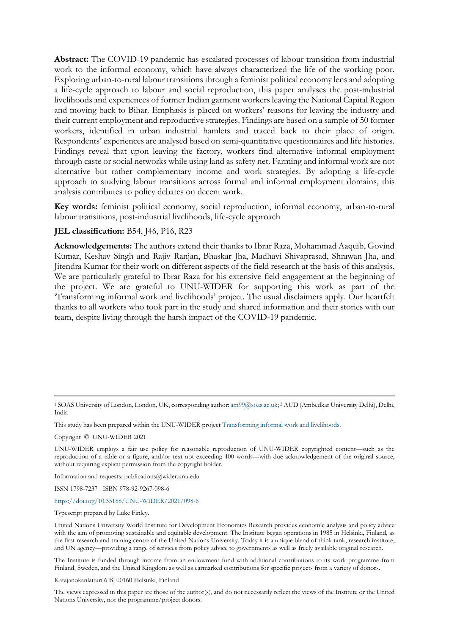**Abstract:** The COVID-19 pandemic has escalated processes of labour transition from industrial work to the informal economy, which have always characterized the life of the working poor. Exploring urban-to-rural labour transitions through a feminist political economy lens and adopting a life-cycle approach to labour and social reproduction, this paper analyses the post-industrial livelihoods and experiences of former Indian garment workers leaving the National Capital Region and moving back to Bihar. Emphasis is placed on workers' reasons for leaving the industry and their current employment and reproductive strategies. Findings are based on a sample of 50 former workers, identified in urban industrial hamlets and traced back to their place of origin. Respondents' experiences are analysed based on semi-quantitative questionnaires and life histories. Findings reveal that upon leaving the factory, workers find alternative informal employment through caste or social networks while using land as safety net. Farming and informal work are not alternative but rather complementary income and work strategies. By adopting a life-cycle approach to studying labour transitions across formal and informal employment domains, this analysis contributes to policy debates on decent work.

**Key words:** feminist political economy, social reproduction, informal economy, urban-to-rural labour transitions, post-industrial livelihoods, life-cycle approach

#### **JEL classification:** B54, J46, P16, R23

**Acknowledgements:** The authors extend their thanks to Ibrar Raza, Mohammad Aaquib, Govind Kumar, Keshav Singh and Rajiv Ranjan, Bhaskar Jha, Madhavi Shivaprasad, Shrawan Jha, and Jitendra Kumar for their work on different aspects of the field research at the basis of this analysis. We are particularly grateful to Ibrar Raza for his extensive field engagement at the beginning of the project. We are grateful to UNU-WIDER for supporting this work as part of the 'Transforming informal work and livelihoods' project. The usual disclaimers apply. Our heartfelt thanks to all workers who took part in the study and shared information and their stories with our team, despite living through the harsh impact of the COVID-19 pandemic.

This study has been prepared within the UNU-WIDER projec[t Transforming informal work and livelihoods.](https://www.wider.unu.edu/node/187589)

Copyright © UNU-WIDER 2021

Information and requests: publications@wider.unu.edu

ISSN 1798-7237 ISBN 978-92-9267-098-6

### <https://doi.org/10.35188/UNU-WIDER/2021/098-6>

Typescript prepared by Luke Finley.

United Nations University World Institute for Development Economics Research provides economic analysis and policy advice with the aim of promoting sustainable and equitable development. The Institute began operations in 1985 in Helsinki, Finland, as the first research and training centre of the United Nations University. Today it is a unique blend of think tank, research institute, and UN agency—providing a range of services from policy advice to governments as well as freely available original research.

The Institute is funded through income from an endowment fund with additional contributions to its work programme from Finland, Sweden, and the United Kingdom as well as earmarked contributions for specific projects from a variety of donors.

Katajanokanlaituri 6 B, 00160 Helsinki, Finland

The views expressed in this paper are those of the author(s), and do not necessarily reflect the views of the Institute or the United Nations University, nor the programme/project donors.

<sup>1</sup> SOAS University of London, London, UK, corresponding author[: am99@soas.ac.uk;](mailto:am99@soas.ac.uk) 2 AUD (Ambedkar University Delhi), Delhi, India

UNU-WIDER employs a fair use policy for reasonable reproduction of UNU-WIDER copyrighted content—such as the reproduction of a table or a figure, and/or text not exceeding 400 words—with due acknowledgement of the original source, without requiring explicit permission from the copyright holder.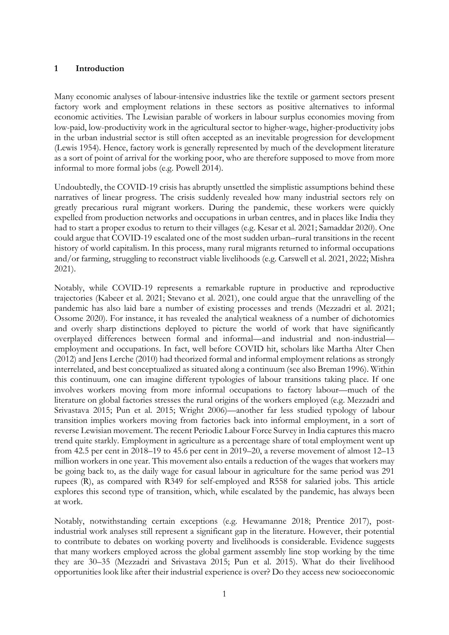# **1 Introduction**

Many economic analyses of labour-intensive industries like the textile or garment sectors present factory work and employment relations in these sectors as positive alternatives to informal economic activities. The Lewisian parable of workers in labour surplus economies moving from low-paid, low-productivity work in the agricultural sector to higher-wage, higher-productivity jobs in the urban industrial sector is still often accepted as an inevitable progression for development (Lewis 1954). Hence, factory work is generally represented by much of the development literature as a sort of point of arrival for the working poor, who are therefore supposed to move from more informal to more formal jobs (e.g. Powell 2014).

Undoubtedly, the COVID-19 crisis has abruptly unsettled the simplistic assumptions behind these narratives of linear progress. The crisis suddenly revealed how many industrial sectors rely on greatly precarious rural migrant workers. During the pandemic, these workers were quickly expelled from production networks and occupations in urban centres, and in places like India they had to start a proper exodus to return to their villages (e.g. Kesar et al. 2021; Samaddar 2020). One could argue that COVID-19 escalated one of the most sudden urban–rural transitions in the recent history of world capitalism. In this process, many rural migrants returned to informal occupations and/or farming, struggling to reconstruct viable livelihoods (e.g. Carswell et al. 2021, 2022; Mishra 2021).

Notably, while COVID-19 represents a remarkable rupture in productive and reproductive trajectories (Kabeer et al. 2021; Stevano et al. 2021), one could argue that the unravelling of the pandemic has also laid bare a number of existing processes and trends (Mezzadri et al. 2021; Ossome 2020). For instance, it has revealed the analytical weakness of a number of dichotomies and overly sharp distinctions deployed to picture the world of work that have significantly overplayed differences between formal and informal—and industrial and non-industrial employment and occupations. In fact, well before COVID hit, scholars like Martha Alter Chen (2012) and Jens Lerche (2010) had theorized formal and informal employment relations as strongly interrelated, and best conceptualized as situated along a continuum (see also Breman 1996). Within this continuum*,* one can imagine different typologies of labour transitions taking place. If one involves workers moving from more informal occupations to factory labour—much of the literature on global factories stresses the rural origins of the workers employed (e.g. Mezzadri and Srivastava 2015; Pun et al. 2015; Wright 2006)—another far less studied typology of labour transition implies workers moving from factories back into informal employment, in a sort of reverse Lewisian movement. The recent Periodic Labour Force Survey in India captures this macro trend quite starkly. Employment in agriculture as a percentage share of total employment went up from 42.5 per cent in 2018–19 to 45.6 per cent in 2019–20, a reverse movement of almost 12–13 million workers in one year. This movement also entails a reduction of the wages that workers may be going back to, as the daily wage for casual labour in agriculture for the same period was 291 rupees (R), as compared with R349 for self-employed and R558 for salaried jobs. This article explores this second type of transition, which, while escalated by the pandemic, has always been at work.

Notably, notwithstanding certain exceptions (e.g. Hewamanne 2018; Prentice 2017), postindustrial work analyses still represent a significant gap in the literature. However, their potential to contribute to debates on working poverty and livelihoods is considerable. Evidence suggests that many workers employed across the global garment assembly line stop working by the time they are 30–35 (Mezzadri and Srivastava 2015; Pun et al. 2015). What do their livelihood opportunities look like after their industrial experience is over? Do they access new socioeconomic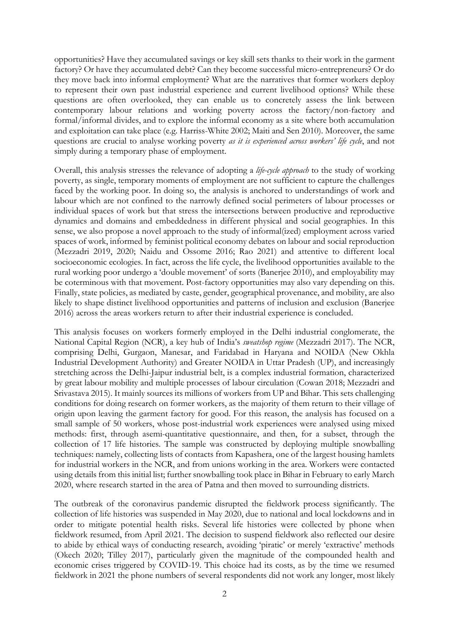opportunities? Have they accumulated savings or key skill sets thanks to their work in the garment factory? Or have they accumulated debt? Can they become successful micro-entrepreneurs? Or do they move back into informal employment? What are the narratives that former workers deploy to represent their own past industrial experience and current livelihood options? While these questions are often overlooked, they can enable us to concretely assess the link between contemporary labour relations and working poverty across the factory/non-factory and formal/informal divides, and to explore the informal economy as a site where both accumulation and exploitation can take place (e.g. Harriss-White 2002; Maiti and Sen 2010). Moreover, the same questions are crucial to analyse working poverty *as it is experienced across workers' life cycle*, and not simply during a temporary phase of employment.

Overall, this analysis stresses the relevance of adopting a *life-cycle approach* to the study of working poverty, as single, temporary moments of employment are not sufficient to capture the challenges faced by the working poor. In doing so, the analysis is anchored to understandings of work and labour which are not confined to the narrowly defined social perimeters of labour processes or individual spaces of work but that stress the intersections between productive and reproductive dynamics and domains and embeddedness in different physical and social geographies. In this sense, we also propose a novel approach to the study of informal(ized) employment across varied spaces of work, informed by feminist political economy debates on labour and social reproduction (Mezzadri 2019, 2020; Naidu and Ossome 2016; Rao 2021) and attentive to different local socioeconomic ecologies. In fact, across the life cycle, the livelihood opportunities available to the rural working poor undergo a 'double movement' of sorts (Banerjee 2010), and employability may be coterminous with that movement. Post-factory opportunities may also vary depending on this. Finally, state policies, as mediated by caste, gender, geographical provenance, and mobility, are also likely to shape distinct livelihood opportunities and patterns of inclusion and exclusion (Banerjee 2016) across the areas workers return to after their industrial experience is concluded.

This analysis focuses on workers formerly employed in the Delhi industrial conglomerate, the National Capital Region (NCR), a key hub of India's *sweatshop regime* (Mezzadri 2017). The NCR, comprising Delhi, Gurgaon, Manesar, and Faridabad in Haryana and NOIDA (New Okhla Industrial Development Authority) and Greater NOIDA in Uttar Pradesh (UP), and increasingly stretching across the Delhi-Jaipur industrial belt, is a complex industrial formation, characterized by great labour mobility and multiple processes of labour circulation (Cowan 2018; Mezzadri and Srivastava 2015). It mainly sources its millions of workers from UP and Bihar. This sets challenging conditions for doing research on former workers, as the majority of them return to their village of origin upon leaving the garment factory for good. For this reason, the analysis has focused on a small sample of 50 workers, whose post-industrial work experiences were analysed using mixed methods: first, through asemi-quantitative questionnaire, and then, for a subset, through the collection of 17 life histories. The sample was constructed by deploying multiple snowballing techniques: namely, collecting lists of contacts from Kapashera, one of the largest housing hamlets for industrial workers in the NCR, and from unions working in the area. Workers were contacted using details from this initial list; further snowballing took place in Bihar in February to early March 2020, where research started in the area of Patna and then moved to surrounding districts.

The outbreak of the coronavirus pandemic disrupted the fieldwork process significantly. The collection of life histories was suspended in May 2020, due to national and local lockdowns and in order to mitigate potential health risks. Several life histories were collected by phone when fieldwork resumed, from April 2021. The decision to suspend fieldwork also reflected our desire to abide by ethical ways of conducting research, avoiding 'piratic' or merely 'extractive' methods (Okech 2020; Tilley 2017), particularly given the magnitude of the compounded health and economic crises triggered by COVID-19. This choice had its costs, as by the time we resumed fieldwork in 2021 the phone numbers of several respondents did not work any longer, most likely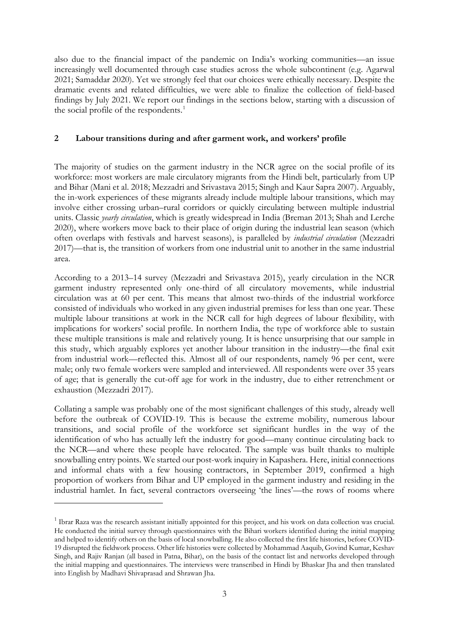also due to the financial impact of the pandemic on India's working communities—an issue increasingly well documented through case studies across the whole subcontinent (e.g. Agarwal 2021; Samaddar 2020). Yet we strongly feel that our choices were ethically necessary. Despite the dramatic events and related difficulties, we were able to finalize the collection of field-based findings by July 2021. We report our findings in the sections below, starting with a discussion of the social profile of the respondents.<sup>[1](#page-4-0)</sup>

## **2 Labour transitions during and after garment work, and workers' profile**

The majority of studies on the garment industry in the NCR agree on the social profile of its workforce: most workers are male circulatory migrants from the Hindi belt, particularly from UP and Bihar (Mani et al. 2018; Mezzadri and Srivastava 2015; Singh and Kaur Sapra 2007). Arguably, the in-work experiences of these migrants already include multiple labour transitions, which may involve either crossing urban–rural corridors or quickly circulating between multiple industrial units. Classic *yearly circulation*, which is greatly widespread in India (Breman 2013; Shah and Lerche 2020), where workers move back to their place of origin during the industrial lean season (which often overlaps with festivals and harvest seasons), is paralleled by *industrial circulation* (Mezzadri 2017)—that is, the transition of workers from one industrial unit to another in the same industrial area.

According to a 2013–14 survey (Mezzadri and Srivastava 2015), yearly circulation in the NCR garment industry represented only one-third of all circulatory movements, while industrial circulation was at 60 per cent. This means that almost two-thirds of the industrial workforce consisted of individuals who worked in any given industrial premises for less than one year. These multiple labour transitions at work in the NCR call for high degrees of labour flexibility, with implications for workers' social profile. In northern India, the type of workforce able to sustain these multiple transitions is male and relatively young. It is hence unsurprising that our sample in this study, which arguably explores yet another labour transition in the industry—the final exit from industrial work—reflected this. Almost all of our respondents, namely 96 per cent, were male; only two female workers were sampled and interviewed. All respondents were over 35 years of age; that is generally the cut-off age for work in the industry, due to either retrenchment or exhaustion (Mezzadri 2017).

Collating a sample was probably one of the most significant challenges of this study, already well before the outbreak of COVID-19. This is because the extreme mobility, numerous labour transitions, and social profile of the workforce set significant hurdles in the way of the identification of who has actually left the industry for good—many continue circulating back to the NCR—and where these people have relocated. The sample was built thanks to multiple snowballing entry points. We started our post-work inquiry in Kapashera. Here, initial connections and informal chats with a few housing contractors, in September 2019, confirmed a high proportion of workers from Bihar and UP employed in the garment industry and residing in the industrial hamlet. In fact, several contractors overseeing 'the lines'—the rows of rooms where

<span id="page-4-0"></span><sup>&</sup>lt;sup>1</sup> Ibrar Raza was the research assistant initially appointed for this project, and his work on data collection was crucial. He conducted the initial survey through questionnaires with the Bihari workers identified during the initial mapping and helped to identify others on the basis of local snowballing. He also collected the first life histories, before COVID-19 disrupted the fieldwork process. Other life histories were collected by Mohammad Aaquib, Govind Kumar, Keshav Singh, and Rajiv Ranjan (all based in Patna, Bihar), on the basis of the contact list and networks developed through the initial mapping and questionnaires. The interviews were transcribed in Hindi by Bhaskar Jha and then translated into English by Madhavi Shivaprasad and Shrawan Jha.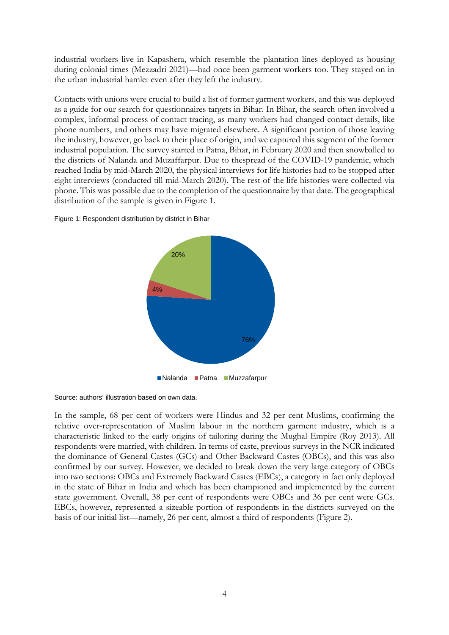industrial workers live in Kapashera, which resemble the plantation lines deployed as housing during colonial times (Mezzadri 2021)—had once been garment workers too. They stayed on in the urban industrial hamlet even after they left the industry.

Contacts with unions were crucial to build a list of former garment workers, and this was deployed as a guide for our search for questionnaires targets in Bihar. In Bihar, the search often involved a complex, informal process of contact tracing, as many workers had changed contact details, like phone numbers, and others may have migrated elsewhere. A significant portion of those leaving the industry, however, go back to their place of origin, and we captured this segment of the former industrial population. The survey started in Patna, Bihar, in February 2020 and then snowballed to the districts of Nalanda and Muzaffarpur. Due to thespread of the COVID-19 pandemic, which reached India by mid-March 2020, the physical interviews for life histories had to be stopped after eight interviews (conducted till mid-March 2020). The rest of the life histories were collected via phone. This was possible due to the completion of the questionnaire by that date. The geographical distribution of the sample is given in Figure 1.





Source: authors' illustration based on own data.

In the sample, 68 per cent of workers were Hindus and 32 per cent Muslims, confirming the relative over-representation of Muslim labour in the northern garment industry, which is a characteristic linked to the early origins of tailoring during the Mughal Empire (Roy 2013). All respondents were married, with children. In terms of caste, previous surveys in the NCR indicated the dominance of General Castes (GCs) and Other Backward Castes (OBCs), and this was also confirmed by our survey. However, we decided to break down the very large category of OBCs into two sections: OBCs and Extremely Backward Castes (EBCs), a category in fact only deployed in the state of Bihar in India and which has been championed and implemented by the current state government. Overall, 38 per cent of respondents were OBCs and 36 per cent were GCs. EBCs, however, represented a sizeable portion of respondents in the districts surveyed on the basis of our initial list—namely, 26 per cent, almost a third of respondents (Figure 2).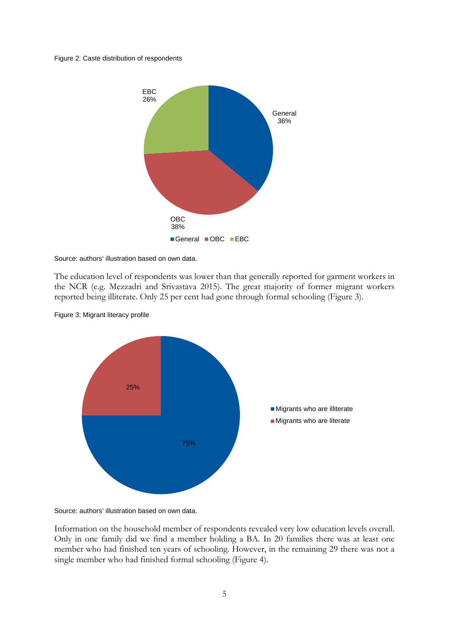#### Figure 2: Caste distribution of respondents



Source: authors' illustration based on own data.

The education level of respondents was lower than that generally reported for garment workers in the NCR (e.g. Mezzadri and Srivastava 2015). The great majority of former migrant workers reported being illiterate. Only 25 per cent had gone through formal schooling (Figure 3).



Figure 3: Migrant literacy profile

Source: authors' illustration based on own data.

Information on the household member of respondents revealed very low education levels overall. Only in one family did we find a member holding a BA. In 20 families there was at least one member who had finished ten years of schooling. However, in the remaining 29 there was not a single member who had finished formal schooling (Figure 4).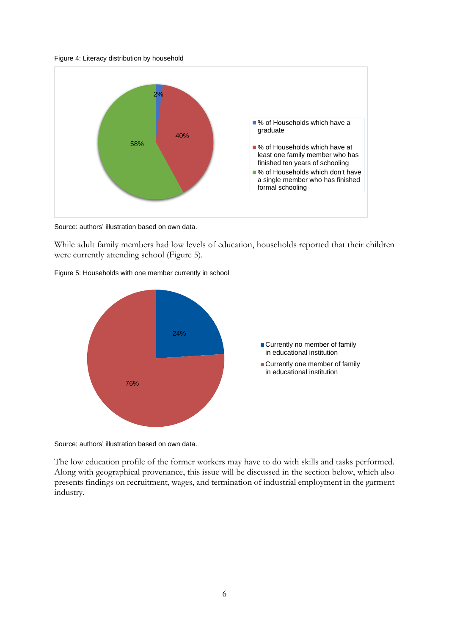



Source: authors' illustration based on own data.

While adult family members had low levels of education, households reported that their children were currently attending school (Figure 5).





Source: authors' illustration based on own data.

The low education profile of the former workers may have to do with skills and tasks performed. Along with geographical provenance, this issue will be discussed in the section below, which also presents findings on recruitment, wages, and termination of industrial employment in the garment industry.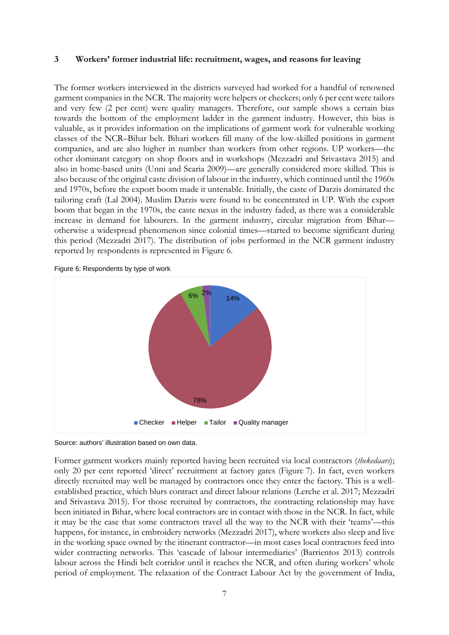### **3 Workers' former industrial life: recruitment, wages, and reasons for leaving**

The former workers interviewed in the districts surveyed had worked for a handful of renowned garment companies in the NCR. The majority were helpers or checkers; only 6 per cent were tailors and very few (2 per cent) were quality managers. Therefore, our sample shows a certain bias towards the bottom of the employment ladder in the garment industry. However, this bias is valuable, as it provides information on the implications of garment work for vulnerable working classes of the NCR–Bihar belt. Bihari workers fill many of the low-skilled positions in garment companies, and are also higher in number than workers from other regions. UP workers—the other dominant category on shop floors and in workshops (Mezzadri and Srivastava 2015) and also in home-based units (Unni and Scaria 2009)—are generally considered more skilled. This is also because of the original caste division of labour in the industry, which continued until the 1960s and 1970s, before the export boom made it untenable. Initially, the caste of Darzis dominated the tailoring craft (Lal 2004). Muslim Darzis were found to be concentrated in UP. With the export boom that began in the 1970s, the caste nexus in the industry faded, as there was a considerable increase in demand for labourers. In the garment industry, circular migration from Bihar otherwise a widespread phenomenon since colonial times—started to become significant during this period (Mezzadri 2017). The distribution of jobs performed in the NCR garment industry reported by respondents is represented in Figure 6.





Source: authors' illustration based on own data.

Former garment workers mainly reported having been recruited via local contractors (*thekedaars*); only 20 per cent reported 'direct' recruitment at factory gates (Figure 7). In fact, even workers directly recruited may well be managed by contractors once they enter the factory. This is a wellestablished practice, which blurs contract and direct labour relations (Lerche et al. 2017; Mezzadri and Srivastava 2015). For those recruited by contractors, the contracting relationship may have been initiated in Bihar, where local contractors are in contact with those in the NCR. In fact, while it may be the case that some contractors travel all the way to the NCR with their 'teams'—this happens, for instance, in embroidery networks (Mezzadri 2017), where workers also sleep and live in the working space owned by the itinerant contractor—in most cases local contractors feed into wider contracting networks. This 'cascade of labour intermediaries' (Barrientos 2013) controls labour across the Hindi belt corridor until it reaches the NCR, and often during workers' whole period of employment. The relaxation of the Contract Labour Act by the government of India,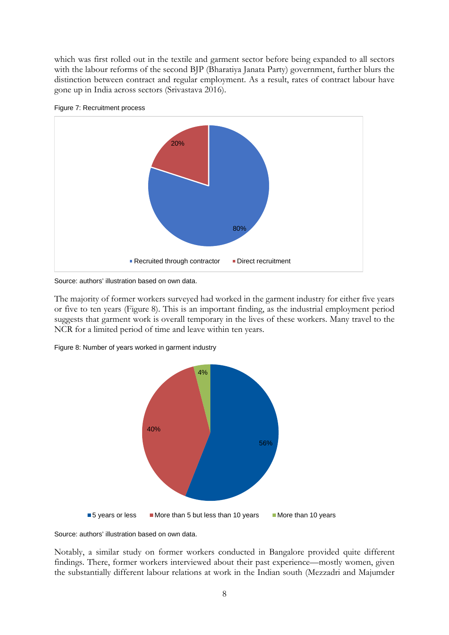which was first rolled out in the textile and garment sector before being expanded to all sectors with the labour reforms of the second BJP (Bharatiya Janata Party) government, further blurs the distinction between contract and regular employment. As a result, rates of contract labour have gone up in India across sectors (Srivastava 2016).





Source: authors' illustration based on own data.

The majority of former workers surveyed had worked in the garment industry for either five years or five to ten years (Figure 8). This is an important finding, as the industrial employment period suggests that garment work is overall temporary in the lives of these workers. Many travel to the NCR for a limited period of time and leave within ten years.



Figure 8: Number of years worked in garment industry

Source: authors' illustration based on own data.

Notably, a similar study on former workers conducted in Bangalore provided quite different findings. There, former workers interviewed about their past experience—mostly women, given the substantially different labour relations at work in the Indian south (Mezzadri and Majumder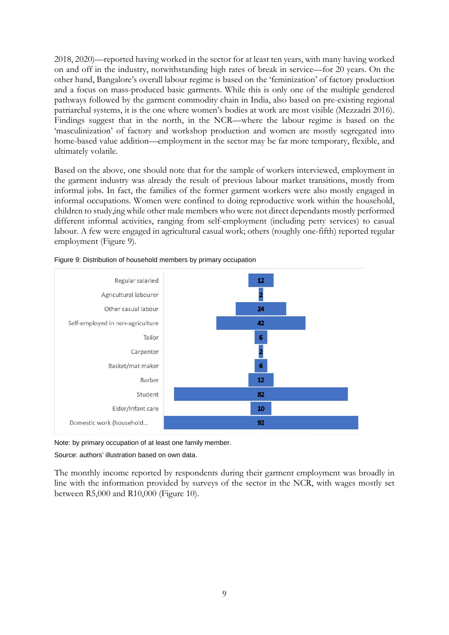2018, 2020)—reported having worked in the sector for at least ten years, with many having worked on and off in the industry, notwithstanding high rates of break in service—for 20 years. On the other hand, Bangalore's overall labour regime is based on the 'feminization' of factory production and a focus on mass-produced basic garments. While this is only one of the multiple gendered pathways followed by the garment commodity chain in India, also based on pre-existing regional patriarchal systems, it is the one where women's bodies at work are most visible (Mezzadri 2016). Findings suggest that in the north, in the NCR—where the labour regime is based on the 'masculinization' of factory and workshop production and women are mostly segregated into home-based value addition—employment in the sector may be far more temporary, flexible, and ultimately volatile.

Based on the above, one should note that for the sample of workers interviewed, employment in the garment industry was already the result of previous labour market transitions, mostly from informal jobs. In fact, the families of the former garment workers were also mostly engaged in informal occupations. Women were confined to doing reproductive work within the household, children to study,ing while other male members who were not direct dependants mostly performed different informal activities, ranging from self-employment (including petty services) to casual labour. A few were engaged in agricultural casual work; others (roughly one-fifth) reported regular employment (Figure 9).



Figure 9: Distribution of household members by primary occupation

Note: by primary occupation of at least one family member.

Source: authors' illustration based on own data.

The monthly income reported by respondents during their garment employment was broadly in line with the information provided by surveys of the sector in the NCR, with wages mostly set between R5,000 and R10,000 (Figure 10).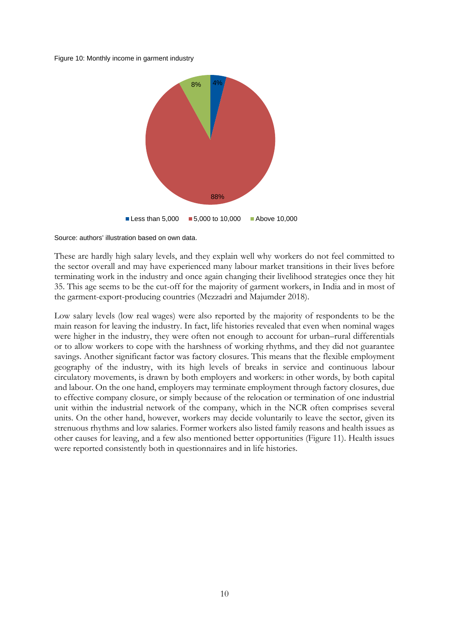Figure 10: Monthly income in garment industry



Source: authors' illustration based on own data.

These are hardly high salary levels, and they explain well why workers do not feel committed to the sector overall and may have experienced many labour market transitions in their lives before terminating work in the industry and once again changing their livelihood strategies once they hit 35. This age seems to be the cut-off for the majority of garment workers, in India and in most of the garment-export-producing countries (Mezzadri and Majumder 2018).

Low salary levels (low real wages) were also reported by the majority of respondents to be the main reason for leaving the industry. In fact, life histories revealed that even when nominal wages were higher in the industry, they were often not enough to account for urban–rural differentials or to allow workers to cope with the harshness of working rhythms, and they did not guarantee savings. Another significant factor was factory closures. This means that the flexible employment geography of the industry, with its high levels of breaks in service and continuous labour circulatory movements, is drawn by both employers and workers: in other words, by both capital and labour. On the one hand, employers may terminate employment through factory closures, due to effective company closure, or simply because of the relocation or termination of one industrial unit within the industrial network of the company, which in the NCR often comprises several units. On the other hand, however, workers may decide voluntarily to leave the sector, given its strenuous rhythms and low salaries. Former workers also listed family reasons and health issues as other causes for leaving, and a few also mentioned better opportunities (Figure 11). Health issues were reported consistently both in questionnaires and in life histories.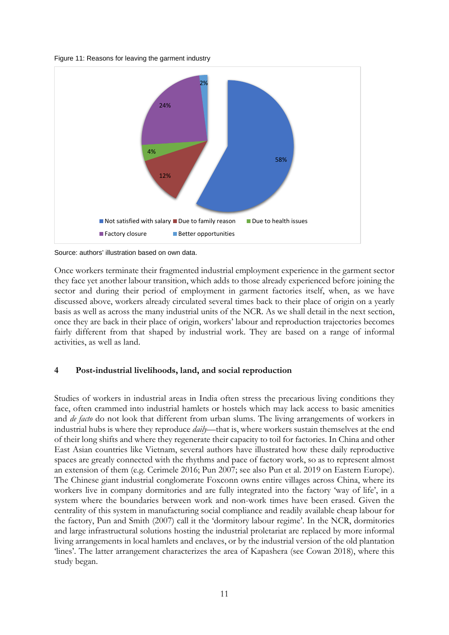Figure 11: Reasons for leaving the garment industry



Source: authors' illustration based on own data.

Once workers terminate their fragmented industrial employment experience in the garment sector they face yet another labour transition, which adds to those already experienced before joining the sector and during their period of employment in garment factories itself, when, as we have discussed above, workers already circulated several times back to their place of origin on a yearly basis as well as across the many industrial units of the NCR. As we shall detail in the next section, once they are back in their place of origin, workers' labour and reproduction trajectories becomes fairly different from that shaped by industrial work. They are based on a range of informal activities, as well as land.

# **4 Post-industrial livelihoods, land, and social reproduction**

Studies of workers in industrial areas in India often stress the precarious living conditions they face, often crammed into industrial hamlets or hostels which may lack access to basic amenities and *de facto* do not look that different from urban slums. The living arrangements of workers in industrial hubs is where they reproduce *daily*—that is, where workers sustain themselves at the end of their long shifts and where they regenerate their capacity to toil for factories. In China and other East Asian countries like Vietnam, several authors have illustrated how these daily reproductive spaces are greatly connected with the rhythms and pace of factory work, so as to represent almost an extension of them (e.g. Cerimele 2016; Pun 2007; see also Pun et al. 2019 on Eastern Europe). The Chinese giant industrial conglomerate Foxconn owns entire villages across China, where its workers live in company dormitories and are fully integrated into the factory 'way of life', in a system where the boundaries between work and non-work times have been erased. Given the centrality of this system in manufacturing social compliance and readily available cheap labour for the factory, Pun and Smith (2007) call it the 'dormitory labour regime'. In the NCR, dormitories and large infrastructural solutions hosting the industrial proletariat are replaced by more informal living arrangements in local hamlets and enclaves, or by the industrial version of the old plantation 'lines'. The latter arrangement characterizes the area of Kapashera (see Cowan 2018), where this study began.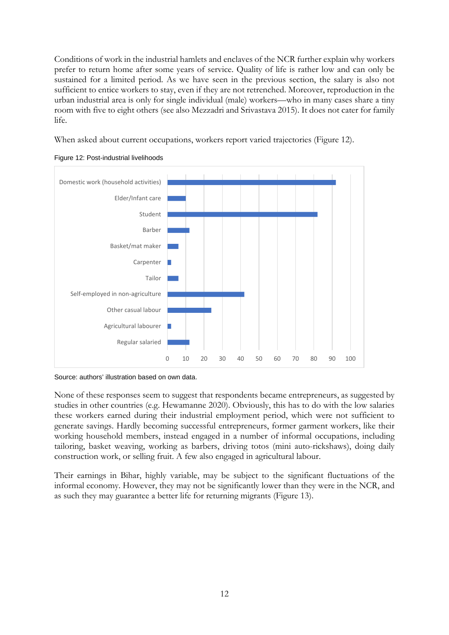Conditions of work in the industrial hamlets and enclaves of the NCR further explain why workers prefer to return home after some years of service. Quality of life is rather low and can only be sustained for a limited period. As we have seen in the previous section, the salary is also not sufficient to entice workers to stay, even if they are not retrenched. Moreover, reproduction in the urban industrial area is only for single individual (male) workers—who in many cases share a tiny room with five to eight others (see also Mezzadri and Srivastava 2015). It does not cater for family life.

When asked about current occupations, workers report varied trajectories (Figure 12).





Source: authors' illustration based on own data.

None of these responses seem to suggest that respondents became entrepreneurs, as suggested by studies in other countries (e.g. Hewamanne 2020). Obviously, this has to do with the low salaries these workers earned during their industrial employment period, which were not sufficient to generate savings. Hardly becoming successful entrepreneurs, former garment workers, like their working household members, instead engaged in a number of informal occupations, including tailoring, basket weaving, working as barbers, driving totos (mini auto-rickshaws), doing daily construction work, or selling fruit. A few also engaged in agricultural labour.

Their earnings in Bihar, highly variable, may be subject to the significant fluctuations of the informal economy. However, they may not be significantly lower than they were in the NCR, and as such they may guarantee a better life for returning migrants (Figure 13).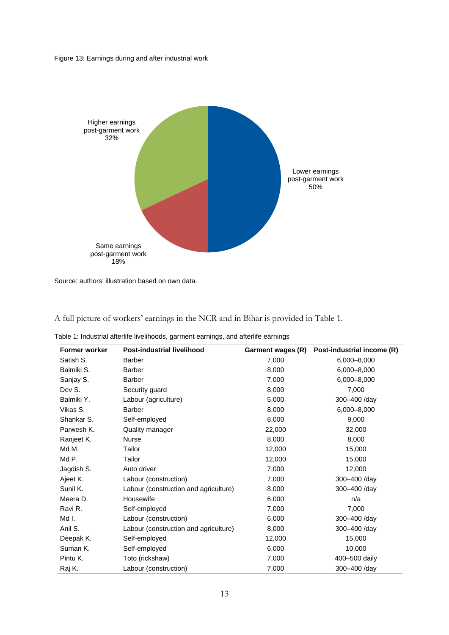Figure 13: Earnings during and after industrial work



Source: authors' illustration based on own data.

A full picture of workers' earnings in the NCR and in Bihar is provided in Table 1.

|  |  |  | Table 1: Industrial afterlife livelihoods, garment earnings, and afterlife earnings |  |
|--|--|--|-------------------------------------------------------------------------------------|--|
|  |  |  |                                                                                     |  |

| <b>Former worker</b> | <b>Post-industrial livelihood</b>     | Garment wages (R) | Post-industrial income (R) |
|----------------------|---------------------------------------|-------------------|----------------------------|
| Satish S.            | <b>Barber</b>                         | 7,000             | 6,000-8,000                |
| Balmiki S.           | <b>Barber</b>                         | 8,000             | 6,000-8,000                |
| Sanjay S.            | <b>Barber</b>                         | 7,000             | 6,000-8,000                |
| Dev S.               | Security guard                        | 8,000             | 7,000                      |
| Balmiki Y.           | Labour (agriculture)                  | 5,000             | 300-400 /day               |
| Vikas S.             | <b>Barber</b>                         | 8,000             | 6,000-8,000                |
| Shankar S.           | Self-employed                         | 8,000             | 9,000                      |
| Parwesh K.           | Quality manager                       | 22,000            | 32,000                     |
| Ranjeet K.           | <b>Nurse</b>                          | 8,000             | 8,000                      |
| Md M.                | Tailor                                | 12,000            | 15,000                     |
| Md P.                | Tailor                                | 12,000            | 15,000                     |
| Jagdish S.           | Auto driver                           | 7,000             | 12,000                     |
| Ajeet K.             | Labour (construction)                 | 7,000             | 300-400 /day               |
| Sunil K.             | Labour (construction and agriculture) | 8,000             | 300-400 /day               |
| Meera D.             | Housewife                             | 6,000             | n/a                        |
| Ravi R.              | Self-employed                         | 7,000             | 7,000                      |
| Md I.                | Labour (construction)                 | 6,000             | 300-400 /day               |
| Anil S.              | Labour (construction and agriculture) | 8,000             | 300-400 /day               |
| Deepak K.            | Self-employed                         | 12,000            | 15,000                     |
| Suman K.             | Self-employed                         | 6,000             | 10,000                     |
| Pintu K.             | Toto (rickshaw)                       | 7,000             | 400-500 daily              |
| Raj K.               | Labour (construction)                 | 7,000             | 300-400 /day               |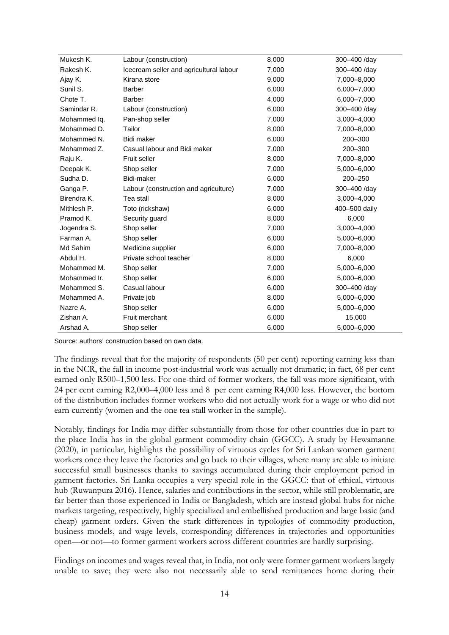| Mukesh K.    | Labour (construction)                   | 8,000 | 300-400 /day  |
|--------------|-----------------------------------------|-------|---------------|
| Rakesh K.    | Icecream seller and agricultural labour | 7,000 | 300-400 /day  |
| Ajay K.      | Kirana store                            | 9,000 | 7,000-8,000   |
| Sunil S.     | <b>Barber</b>                           | 6,000 | 6,000-7,000   |
| Chote T.     | <b>Barber</b>                           | 4,000 | 6,000-7,000   |
| Samindar R.  | Labour (construction)                   | 6,000 | 300-400 /day  |
| Mohammed Iq. | Pan-shop seller                         | 7,000 | 3,000-4,000   |
| Mohammed D.  | Tailor                                  | 8,000 | 7,000-8,000   |
| Mohammed N.  | Bidi maker                              | 6,000 | 200-300       |
| Mohammed Z.  | Casual labour and Bidi maker            | 7,000 | 200-300       |
| Raju K.      | Fruit seller                            | 8,000 | 7,000-8,000   |
| Deepak K.    | Shop seller                             | 7,000 | 5,000 - 6,000 |
| Sudha D.     | Bidi-maker                              | 6,000 | $200 - 250$   |
| Ganga P.     | Labour (construction and agriculture)   | 7,000 | 300-400 /day  |
| Birendra K.  | Tea stall                               | 8,000 | 3,000-4,000   |
| Mithlesh P.  | Toto (rickshaw)                         | 6,000 | 400-500 daily |
| Pramod K.    | Security guard                          | 8,000 | 6,000         |
| Jogendra S.  | Shop seller                             | 7,000 | 3,000 - 4,000 |
| Farman A.    | Shop seller                             | 6,000 | 5,000-6,000   |
| Md Sahim     | Medicine supplier                       | 6,000 | 7,000-8,000   |
| Abdul H.     | Private school teacher                  | 8,000 | 6,000         |
| Mohammed M.  | Shop seller                             | 7,000 | 5,000-6,000   |
| Mohammed Ir. | Shop seller                             | 6,000 | 5,000-6,000   |
| Mohammed S.  | Casual labour                           | 6,000 | 300-400 /day  |
| Mohammed A.  | Private job                             | 8,000 | 5,000 - 6,000 |
| Nazre A.     | Shop seller                             | 6,000 | 5,000-6,000   |
| Zishan A.    | Fruit merchant                          | 6,000 | 15,000        |
| Arshad A.    | Shop seller                             | 6,000 | 5,000-6,000   |

Source: authors' construction based on own data.

The findings reveal that for the majority of respondents (50 per cent) reporting earning less than in the NCR, the fall in income post-industrial work was actually not dramatic; in fact, 68 per cent earned only R500–1,500 less. For one-third of former workers, the fall was more significant, with 24 per cent earning R2,000–4,000 less and 8 per cent earning R4,000 less. However, the bottom of the distribution includes former workers who did not actually work for a wage or who did not earn currently (women and the one tea stall worker in the sample).

Notably, findings for India may differ substantially from those for other countries due in part to the place India has in the global garment commodity chain (GGCC). A study by Hewamanne (2020), in particular, highlights the possibility of virtuous cycles for Sri Lankan women garment workers once they leave the factories and go back to their villages, where many are able to initiate successful small businesses thanks to savings accumulated during their employment period in garment factories. Sri Lanka occupies a very special role in the GGCC: that of ethical, virtuous hub (Ruwanpura 2016). Hence, salaries and contributions in the sector, while still problematic, are far better than those experienced in India or Bangladesh, which are instead global hubs for niche markets targeting, respectively, highly specialized and embellished production and large basic (and cheap) garment orders. Given the stark differences in typologies of commodity production, business models, and wage levels, corresponding differences in trajectories and opportunities open—or not—to former garment workers across different countries are hardly surprising.

Findings on incomes and wages reveal that, in India, not only were former garment workers largely unable to save; they were also not necessarily able to send remittances home during their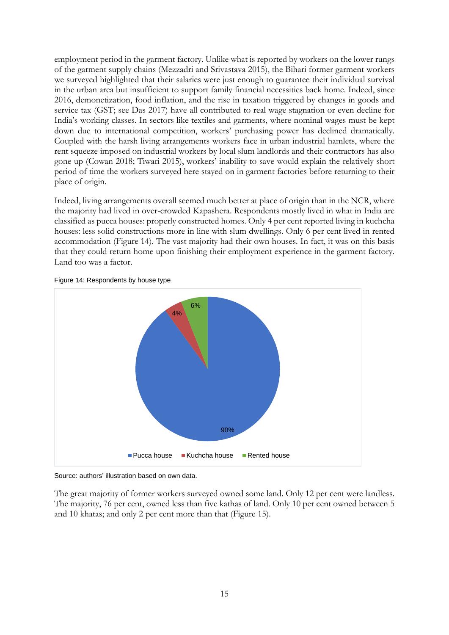employment period in the garment factory. Unlike what is reported by workers on the lower rungs of the garment supply chains (Mezzadri and Srivastava 2015), the Bihari former garment workers we surveyed highlighted that their salaries were just enough to guarantee their individual survival in the urban area but insufficient to support family financial necessities back home. Indeed, since 2016, demonetization, food inflation, and the rise in taxation triggered by changes in goods and service tax (GST; see Das 2017) have all contributed to real wage stagnation or even decline for India's working classes. In sectors like textiles and garments, where nominal wages must be kept down due to international competition, workers' purchasing power has declined dramatically. Coupled with the harsh living arrangements workers face in urban industrial hamlets, where the rent squeeze imposed on industrial workers by local slum landlords and their contractors has also gone up (Cowan 2018; Tiwari 2015), workers' inability to save would explain the relatively short period of time the workers surveyed here stayed on in garment factories before returning to their place of origin.

Indeed, living arrangements overall seemed much better at place of origin than in the NCR, where the majority had lived in over-crowded Kapashera. Respondents mostly lived in what in India are classified as pucca houses: properly constructed homes. Only 4 per cent reported living in kuchcha houses: less solid constructions more in line with slum dwellings. Only 6 per cent lived in rented accommodation (Figure 14). The vast majority had their own houses. In fact, it was on this basis that they could return home upon finishing their employment experience in the garment factory. Land too was a factor.



Figure 14: Respondents by house type

Source: authors' illustration based on own data.

The great majority of former workers surveyed owned some land. Only 12 per cent were landless. The majority, 76 per cent, owned less than five kathas of land. Only 10 per cent owned between 5 and 10 khatas; and only 2 per cent more than that (Figure 15).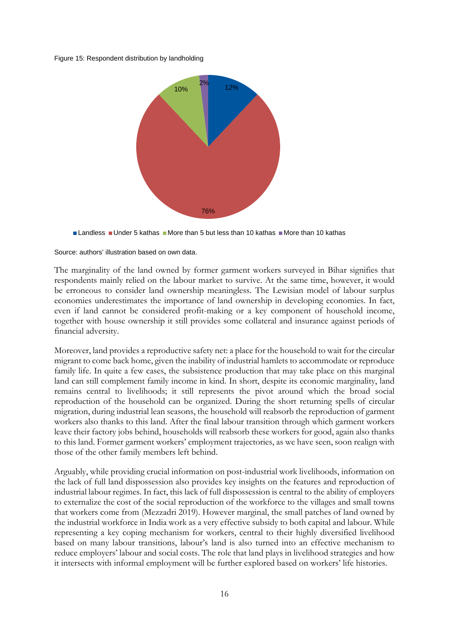Figure 15: Respondent distribution by landholding



**Landless II Under 5 kathas II More than 5 but less than 10 kathas II More than 10 kathas** 

Source: authors' illustration based on own data.

The marginality of the land owned by former garment workers surveyed in Bihar signifies that respondents mainly relied on the labour market to survive. At the same time, however, it would be erroneous to consider land ownership meaningless. The Lewisian model of labour surplus economies underestimates the importance of land ownership in developing economies. In fact, even if land cannot be considered profit-making or a key component of household income, together with house ownership it still provides some collateral and insurance against periods of financial adversity.

Moreover, land provides a reproductive safety net: a place for the household to wait for the circular migrant to come back home, given the inability of industrial hamlets to accommodate or reproduce family life. In quite a few cases, the subsistence production that may take place on this marginal land can still complement family income in kind. In short, despite its economic marginality, land remains central to livelihoods; it still represents the pivot around which the broad social reproduction of the household can be organized. During the short returning spells of circular migration, during industrial lean seasons, the household will reabsorb the reproduction of garment workers also thanks to this land. After the final labour transition through which garment workers leave their factory jobs behind, households will reabsorb these workers for good, again also thanks to this land. Former garment workers' employment trajectories, as we have seen, soon realign with those of the other family members left behind.

Arguably, while providing crucial information on post-industrial work livelihoods, information on the lack of full land dispossession also provides key insights on the features and reproduction of industrial labour regimes. In fact, this lack of full dispossession is central to the ability of employers to externalize the cost of the social reproduction of the workforce to the villages and small towns that workers come from (Mezzadri 2019). However marginal, the small patches of land owned by the industrial workforce in India work as a very effective subsidy to both capital and labour. While representing a key coping mechanism for workers, central to their highly diversified livelihood based on many labour transitions, labour's land is also turned into an effective mechanism to reduce employers' labour and social costs. The role that land plays in livelihood strategies and how it intersects with informal employment will be further explored based on workers' life histories.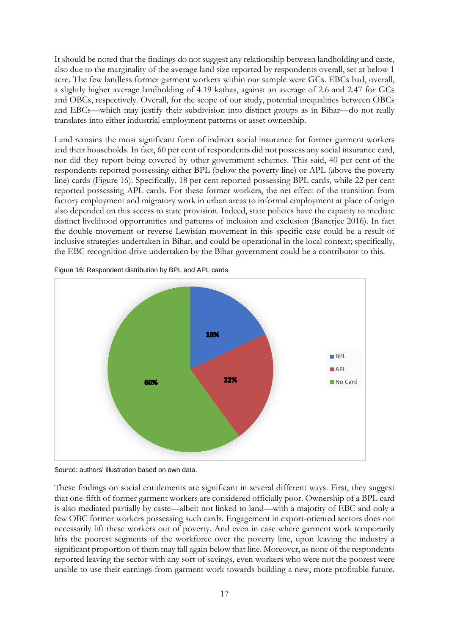It should be noted that the findings do not suggest any relationship between landholding and caste, also due to the marginality of the average land size reported by respondents overall, set at below 1 acre. The few landless former garment workers within our sample were GCs. EBCs had, overall, a slightly higher average landholding of 4.19 kathas, against an average of 2.6 and 2.47 for GCs and OBCs, respectively. Overall, for the scope of our study, potential inequalities between OBCs and EBCs—which may justify their subdivision into distinct groups as in Bihar—do not really translates into either industrial employment patterns or asset ownership.

Land remains the most significant form of indirect social insurance for former garment workers and their households. In fact, 60 per cent of respondents did not possess any social insurance card, nor did they report being covered by other government schemes. This said, 40 per cent of the respondents reported possessing either BPL (below the poverty line) or APL (above the poverty line) cards (Figure 16). Specifically, 18 per cent reported possessing BPL cards, while 22 per cent reported possessing APL cards. For these former workers, the net effect of the transition from factory employment and migratory work in urban areas to informal employment at place of origin also depended on this access to state provision. Indeed, state policies have the capacity to mediate distinct livelihood opportunities and patterns of inclusion and exclusion (Banerjee 2016). In fact the double movement or reverse Lewisian movement in this specific case could be a result of inclusive strategies undertaken in Bihar, and could be operational in the local context; specifically, the EBC recognition drive undertaken by the Bihar government could be a contributor to this.



Figure 16: Respondent distribution by BPL and APL cards

Source: authors' illustration based on own data.

These findings on social entitlements are significant in several different ways. First, they suggest that one-fifth of former garment workers are considered officially poor. Ownership of a BPL card is also mediated partially by caste—albeit not linked to land—with a majority of EBC and only a few OBC former workers possessing such cards. Engagement in export-oriented sectors does not necessarily lift these workers out of poverty. And even in case where garment work temporarily lifts the poorest segments of the workforce over the poverty line, upon leaving the industry a significant proportion of them may fall again below that line. Moreover, as none of the respondents reported leaving the sector with any sort of savings, even workers who were not the poorest were unable to use their earnings from garment work towards building a new, more profitable future.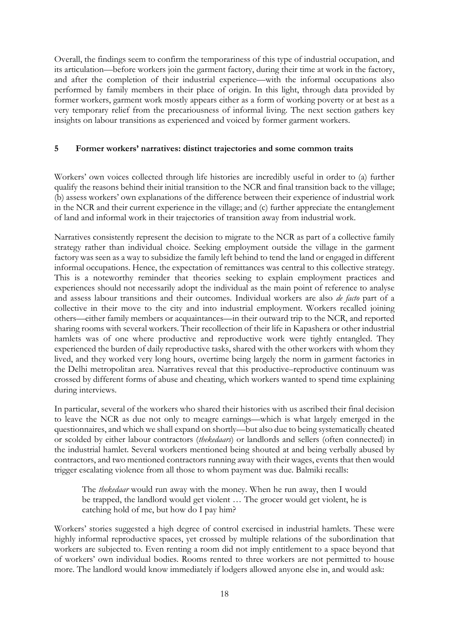Overall, the findings seem to confirm the temporariness of this type of industrial occupation, and its articulation—before workers join the garment factory, during their time at work in the factory, and after the completion of their industrial experience—with the informal occupations also performed by family members in their place of origin. In this light, through data provided by former workers, garment work mostly appears either as a form of working poverty or at best as a very temporary relief from the precariousness of informal living. The next section gathers key insights on labour transitions as experienced and voiced by former garment workers.

# **5 Former workers' narratives: distinct trajectories and some common traits**

Workers' own voices collected through life histories are incredibly useful in order to (a) further qualify the reasons behind their initial transition to the NCR and final transition back to the village; (b) assess workers' own explanations of the difference between their experience of industrial work in the NCR and their current experience in the village; and (c) further appreciate the entanglement of land and informal work in their trajectories of transition away from industrial work.

Narratives consistently represent the decision to migrate to the NCR as part of a collective family strategy rather than individual choice. Seeking employment outside the village in the garment factory was seen as a way to subsidize the family left behind to tend the land or engaged in different informal occupations. Hence, the expectation of remittances was central to this collective strategy. This is a noteworthy reminder that theories seeking to explain employment practices and experiences should not necessarily adopt the individual as the main point of reference to analyse and assess labour transitions and their outcomes. Individual workers are also *de facto* part of a collective in their move to the city and into industrial employment. Workers recalled joining others—either family members or acquaintances—in their outward trip to the NCR, and reported sharing rooms with several workers. Their recollection of their life in Kapashera or other industrial hamlets was of one where productive and reproductive work were tightly entangled. They experienced the burden of daily reproductive tasks, shared with the other workers with whom they lived, and they worked very long hours, overtime being largely the norm in garment factories in the Delhi metropolitan area. Narratives reveal that this productive–reproductive continuum was crossed by different forms of abuse and cheating, which workers wanted to spend time explaining during interviews.

In particular, several of the workers who shared their histories with us ascribed their final decision to leave the NCR as due not only to meagre earnings—which is what largely emerged in the questionnaires, and which we shall expand on shortly—but also due to being systematically cheated or scolded by either labour contractors (*thekedaars*) or landlords and sellers (often connected) in the industrial hamlet. Several workers mentioned being shouted at and being verbally abused by contractors, and two mentioned contractors running away with their wages, events that then would trigger escalating violence from all those to whom payment was due. Balmiki recalls:

The *thekedaar* would run away with the money. When he run away, then I would be trapped, the landlord would get violent … The grocer would get violent, he is catching hold of me, but how do I pay him?

Workers' stories suggested a high degree of control exercised in industrial hamlets. These were highly informal reproductive spaces, yet crossed by multiple relations of the subordination that workers are subjected to. Even renting a room did not imply entitlement to a space beyond that of workers' own individual bodies. Rooms rented to three workers are not permitted to house more. The landlord would know immediately if lodgers allowed anyone else in, and would ask: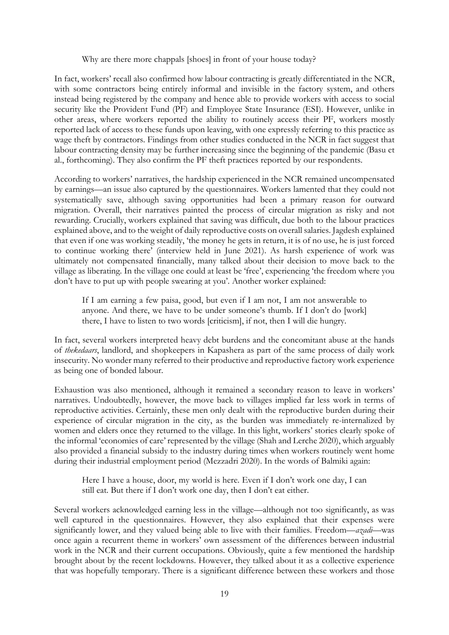Why are there more chappals [shoes] in front of your house today?

In fact, workers' recall also confirmed how labour contracting is greatly differentiated in the NCR, with some contractors being entirely informal and invisible in the factory system, and others instead being registered by the company and hence able to provide workers with access to social security like the Provident Fund (PF) and Employee State Insurance (ESI). However, unlike in other areas, where workers reported the ability to routinely access their PF, workers mostly reported lack of access to these funds upon leaving, with one expressly referring to this practice as wage theft by contractors. Findings from other studies conducted in the NCR in fact suggest that labour contracting density may be further increasing since the beginning of the pandemic (Basu et al., forthcoming). They also confirm the PF theft practices reported by our respondents.

According to workers' narratives, the hardship experienced in the NCR remained uncompensated by earnings—an issue also captured by the questionnaires. Workers lamented that they could not systematically save, although saving opportunities had been a primary reason for outward migration. Overall, their narratives painted the process of circular migration as risky and not rewarding. Crucially, workers explained that saving was difficult, due both to the labour practices explained above, and to the weight of daily reproductive costs on overall salaries. Jagdesh explained that even if one was working steadily, 'the money he gets in return, it is of no use, he is just forced to continue working there' (interview held in June 2021). As harsh experience of work was ultimately not compensated financially, many talked about their decision to move back to the village as liberating. In the village one could at least be 'free', experiencing 'the freedom where you don't have to put up with people swearing at you'. Another worker explained:

If I am earning a few paisa, good, but even if I am not, I am not answerable to anyone. And there, we have to be under someone's thumb. If I don't do [work] there, I have to listen to two words [criticism], if not, then I will die hungry.

In fact, several workers interpreted heavy debt burdens and the concomitant abuse at the hands of *thekedaars*, landlord, and shopkeepers in Kapashera as part of the same process of daily work insecurity. No wonder many referred to their productive and reproductive factory work experience as being one of bonded labour.

Exhaustion was also mentioned, although it remained a secondary reason to leave in workers' narratives. Undoubtedly, however, the move back to villages implied far less work in terms of reproductive activities. Certainly, these men only dealt with the reproductive burden during their experience of circular migration in the city, as the burden was immediately re-internalized by women and elders once they returned to the village. In this light, workers' stories clearly spoke of the informal 'economies of care' represented by the village (Shah and Lerche 2020), which arguably also provided a financial subsidy to the industry during times when workers routinely went home during their industrial employment period (Mezzadri 2020). In the words of Balmiki again:

Here I have a house, door, my world is here. Even if I don't work one day, I can still eat. But there if I don't work one day, then I don't eat either.

Several workers acknowledged earning less in the village—although not too significantly, as was well captured in the questionnaires. However, they also explained that their expenses were significantly lower, and they valued being able to live with their families. Freedom—*azadi—*was once again a recurrent theme in workers' own assessment of the differences between industrial work in the NCR and their current occupations. Obviously, quite a few mentioned the hardship brought about by the recent lockdowns. However, they talked about it as a collective experience that was hopefully temporary. There is a significant difference between these workers and those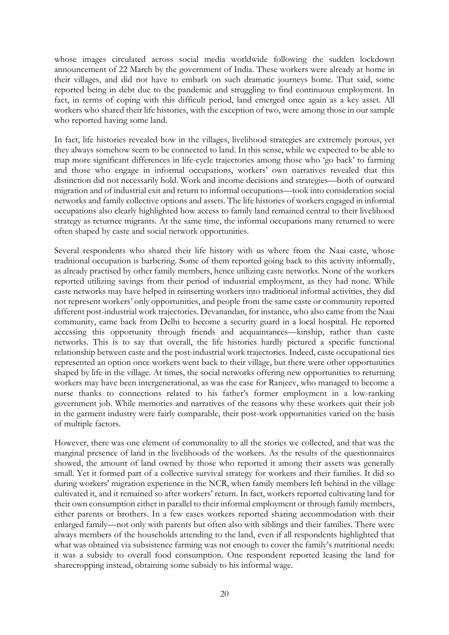whose images circulated across social media worldwide following the sudden lockdown announcement of 22 March by the government of India. These workers were already at home in their villages, and did not have to embark on such dramatic journeys home. That said, some reported being in debt due to the pandemic and struggling to find continuous employment. In fact, in terms of coping with this difficult period, land emerged once again as a key asset. All workers who shared their life histories, with the exception of two, were among those in our sample who reported having some land.

In fact, life histories revealed how in the villages, livelihood strategies are extremely porous, yet they always somehow seem to be connected to land. In this sense, while we expected to be able to map more significant differences in life-cycle trajectories among those who 'go back' to farming and those who engage in informal occupations, workers' own narratives revealed that this distinction did not necessarily hold. Work and income decisions and strategies—both of outward migration and of industrial exit and return to informal occupations—took into consideration social networks and family collective options and assets. The life histories of workers engaged in informal occupations also clearly highlighted how access to family land remained central to their livelihood strategy as returnee migrants. At the same time, the informal occupations many returned to were often shaped by caste and social network opportunities.

Several respondents who shared their life history with us where from the Naai caste, whose traditional occupation is barbering. Some of them reported going back to this activity informally, as already practised by other family members, hence utilizing caste networks. None of the workers reported utilizing savings from their period of industrial employment, as they had none. While caste networks may have helped in reinserting workers into traditional informal activities, they did not represent workers' only opportunities, and people from the same caste or community reported different post-industrial work trajectories. Devanandan, for instance, who also came from the Naai community, came back from Delhi to become a security guard in a local hospital. He reported accessing this opportunity through friends and acquaintances—kinship, rather than caste networks. This is to say that overall, the life histories hardly pictured a specific functional relationship between caste and the post-industrial work trajectories. Indeed, caste occupational ties represented an option once workers went back to their village, but there were other opportunities shaped by life in the village. At times, the social networks offering new opportunities to returning workers may have been intergenerational, as was the case for Ranjeev, who managed to become a nurse thanks to connections related to his father's former employment in a low-ranking government job. While memories and narratives of the reasons why these workers quit their job in the garment industry were fairly comparable, their post-work opportunities varied on the basis of multiple factors.

However, there was one element of commonality to all the stories we collected, and that was the marginal presence of land in the livelihoods of the workers. As the results of the questionnaires showed, the amount of land owned by those who reported it among their assets was generally small. Yet it formed part of a collective survival strategy for workers and their families. It did so during workers' migration experience in the NCR, when family members left behind in the village cultivated it, and it remained so after workers' return. In fact, workers reported cultivating land for their own consumption either in parallel to their informal employment or through family members, either parents or brothers. In a few cases workers reported sharing accommodation with their enlarged family—not only with parents but often also with siblings and their families. There were always members of the households attending to the land, even if all respondents highlighted that what was obtained via subsistence farming was not enough to cover the family's nutritional needs: it was a subsidy to overall food consumption. One respondent reported leasing the land for sharecropping instead, obtaining some subsidy to his informal wage.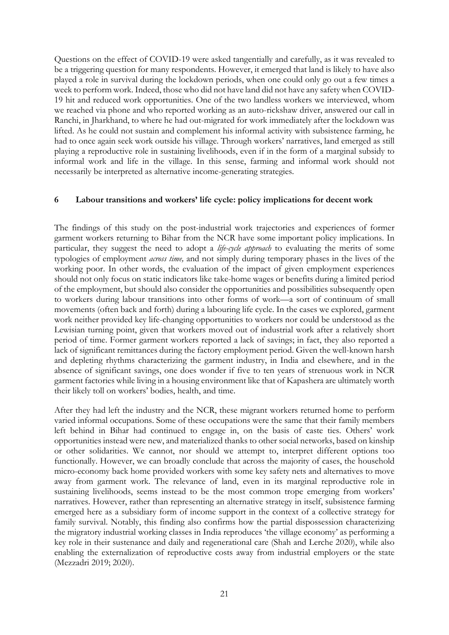Questions on the effect of COVID-19 were asked tangentially and carefully, as it was revealed to be a triggering question for many respondents. However, it emerged that land is likely to have also played a role in survival during the lockdown periods, when one could only go out a few times a week to perform work. Indeed, those who did not have land did not have any safety when COVID-19 hit and reduced work opportunities. One of the two landless workers we interviewed, whom we reached via phone and who reported working as an auto-rickshaw driver, answered our call in Ranchi, in Jharkhand, to where he had out-migrated for work immediately after the lockdown was lifted. As he could not sustain and complement his informal activity with subsistence farming, he had to once again seek work outside his village. Through workers' narratives, land emerged as still playing a reproductive role in sustaining livelihoods, even if in the form of a marginal subsidy to informal work and life in the village. In this sense, farming and informal work should not necessarily be interpreted as alternative income-generating strategies.

## **6 Labour transitions and workers' life cycle: policy implications for decent work**

The findings of this study on the post-industrial work trajectories and experiences of former garment workers returning to Bihar from the NCR have some important policy implications. In particular, they suggest the need to adopt a *life-cycle approach* to evaluating the merits of some typologies of employment *across time,* and not simply during temporary phases in the lives of the working poor. In other words, the evaluation of the impact of given employment experiences should not only focus on static indicators like take-home wages or benefits during a limited period of the employment, but should also consider the opportunities and possibilities subsequently open to workers during labour transitions into other forms of work—a sort of continuum of small movements (often back and forth) during a labouring life cycle. In the cases we explored, garment work neither provided key life-changing opportunities to workers nor could be understood as the Lewisian turning point, given that workers moved out of industrial work after a relatively short period of time. Former garment workers reported a lack of savings; in fact, they also reported a lack of significant remittances during the factory employment period. Given the well-known harsh and depleting rhythms characterizing the garment industry, in India and elsewhere, and in the absence of significant savings, one does wonder if five to ten years of strenuous work in NCR garment factories while living in a housing environment like that of Kapashera are ultimately worth their likely toll on workers' bodies, health, and time.

After they had left the industry and the NCR, these migrant workers returned home to perform varied informal occupations. Some of these occupations were the same that their family members left behind in Bihar had continued to engage in, on the basis of caste ties. Others' work opportunities instead were new, and materialized thanks to other social networks, based on kinship or other solidarities. We cannot, nor should we attempt to, interpret different options too functionally. However, we can broadly conclude that across the majority of cases, the household micro-economy back home provided workers with some key safety nets and alternatives to move away from garment work. The relevance of land, even in its marginal reproductive role in sustaining livelihoods, seems instead to be the most common trope emerging from workers' narratives. However, rather than representing an alternative strategy in itself, subsistence farming emerged here as a subsidiary form of income support in the context of a collective strategy for family survival. Notably, this finding also confirms how the partial dispossession characterizing the migratory industrial working classes in India reproduces 'the village economy' as performing a key role in their sustenance and daily and regenerational care (Shah and Lerche 2020), while also enabling the externalization of reproductive costs away from industrial employers or the state (Mezzadri 2019; 2020).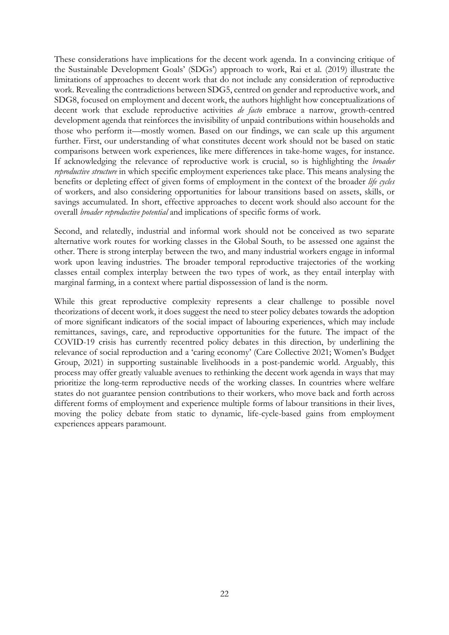These considerations have implications for the decent work agenda. In a convincing critique of the Sustainable Development Goals' (SDGs') approach to work, Rai et al. (2019) illustrate the limitations of approaches to decent work that do not include any consideration of reproductive work. Revealing the contradictions between SDG5, centred on gender and reproductive work, and SDG8, focused on employment and decent work, the authors highlight how conceptualizations of decent work that exclude reproductive activities *de facto* embrace a narrow, growth-centred development agenda that reinforces the invisibility of unpaid contributions within households and those who perform it—mostly women. Based on our findings, we can scale up this argument further. First, our understanding of what constitutes decent work should not be based on static comparisons between work experiences, like mere differences in take-home wages, for instance. If acknowledging the relevance of reproductive work is crucial, so is highlighting the *broader reproductive structure* in which specific employment experiences take place. This means analysing the benefits or depleting effect of given forms of employment in the context of the broader *life cycles* of workers, and also considering opportunities for labour transitions based on assets, skills, or savings accumulated. In short, effective approaches to decent work should also account for the overall *broader reproductive potential* and implications of specific forms of work.

Second, and relatedly, industrial and informal work should not be conceived as two separate alternative work routes for working classes in the Global South, to be assessed one against the other. There is strong interplay between the two, and many industrial workers engage in informal work upon leaving industries. The broader temporal reproductive trajectories of the working classes entail complex interplay between the two types of work, as they entail interplay with marginal farming, in a context where partial dispossession of land is the norm.

While this great reproductive complexity represents a clear challenge to possible novel theorizations of decent work, it does suggest the need to steer policy debates towards the adoption of more significant indicators of the social impact of labouring experiences, which may include remittances, savings, care, and reproductive opportunities for the future. The impact of the COVID-19 crisis has currently recentred policy debates in this direction, by underlining the relevance of social reproduction and a 'caring economy' (Care Collective 2021; Women's Budget Group, 2021) in supporting sustainable livelihoods in a post-pandemic world. Arguably, this process may offer greatly valuable avenues to rethinking the decent work agenda in ways that may prioritize the long-term reproductive needs of the working classes. In countries where welfare states do not guarantee pension contributions to their workers, who move back and forth across different forms of employment and experience multiple forms of labour transitions in their lives, moving the policy debate from static to dynamic, life-cycle-based gains from employment experiences appears paramount.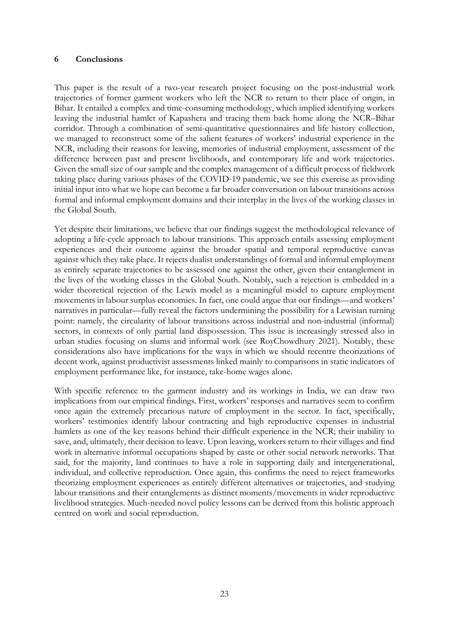### **6 Conclusions**

This paper is the result of a two-year research project focusing on the post-industrial work trajectories of former garment workers who left the NCR to return to their place of origin, in Bihar. It entailed a complex and time-consuming methodology, which implied identifying workers leaving the industrial hamlet of Kapashera and tracing them back home along the NCR–Bihar corridor. Through a combination of semi-quantitative questionnaires and life history collection, we managed to reconstruct some of the salient features of workers' industrial experience in the NCR, including their reasons for leaving, memories of industrial employment, assessment of the difference between past and present livelihoods, and contemporary life and work trajectories. Given the small size of our sample and the complex management of a difficult process of fieldwork taking place during various phases of the COVID-19 pandemic, we see this exercise as providing initial input into what we hope can become a far broader conversation on labour transitions across formal and informal employment domains and their interplay in the lives of the working classes in the Global South.

Yet despite their limitations, we believe that our findings suggest the methodological relevance of adopting a life-cycle approach to labour transitions. This approach entails assessing employment experiences and their outcome against the broader spatial and temporal reproductive canvas against which they take place. It rejects dualist understandings of formal and informal employment as entirely separate trajectories to be assessed one against the other, given their entanglement in the lives of the working classes in the Global South. Notably, such a rejection is embedded in a wider theoretical rejection of the Lewis model as a meaningful model to capture employment movements in labour surplus economies. In fact, one could argue that our findings—and workers' narratives in particular—fully reveal the factors undermining the possibility for a Lewisian turning point: namely, the circularity of labour transitions across industrial and non-industrial (informal) sectors, in contexts of only partial land dispossession. This issue is increasingly stressed also in urban studies focusing on slums and informal work (see RoyChowdhury 2021). Notably, these considerations also have implications for the ways in which we should recentre theorizations of decent work, against productivist assessments linked mainly to comparisons in static indicators of employment performance like, for instance, take-home wages alone.

With specific reference to the garment industry and its workings in India, we can draw two implications from our empirical findings. First, workers' responses and narratives seem to confirm once again the extremely precarious nature of employment in the sector. In fact, specifically, workers' testimonies identify labour contracting and high reproductive expenses in industrial hamlets as one of the key reasons behind their difficult experience in the NCR; their inability to save, and, ultimately, their decision to leave. Upon leaving, workers return to their villages and find work in alternative informal occupations shaped by caste or other social network networks. That said, for the majority, land continues to have a role in supporting daily and intergenerational, individual, and collective reproduction. Once again, this confirms the need to reject frameworks theorizing employment experiences as entirely different alternatives or trajectories, and studying labour transitions and their entanglements as distinct moments/movements in wider reproductive livelihood strategies. Much-needed novel policy lessons can be derived from this holistic approach centred on work and social reproduction.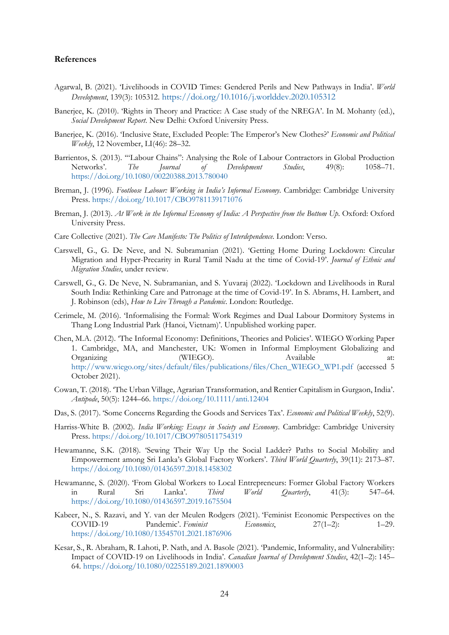#### **References**

- Agarwal, B. (2021). 'Livelihoods in COVID Times: Gendered Perils and New Pathways in India'. *World Development*, 139(3): 105312. <https://doi.org/10.1016/j.worlddev.2020.105312>
- Banerjee, K. (2010). 'Rights in Theory and Practice: A Case study of the NREGA'. In M. Mohanty (ed.), *Social Development Report*. New Delhi: Oxford University Press.
- Banerjee, K. (2016). 'Inclusive State, Excluded People: The Emperor's New Clothes?' *Economic and Political Weekly*, 12 November, LI(46): 28–32.
- Barrientos, S. (2013). '"Labour Chains": Analysing the Role of Labour Contractors in Global Production Networks'. *The Journal of Development Studies*, 49(8): 1058–71. <https://doi.org/10.1080/00220388.2013.780040>
- Breman, J. (1996). *Footloose Labour: Working in India's Informal Economy*. Cambridge: Cambridge University Press. <https://doi.org/10.1017/CBO9781139171076>
- Breman, J. (2013). *At Work in the Informal Economy of India: A Perspective from the Bottom Up*. Oxford: Oxford University Press.
- Care Collective (2021). *The Care Manifesto: The Politics of Interdependence*. London: Verso.
- Carswell, G., G. De Neve, and N. Subramanian (2021). 'Getting Home During Lockdown: Circular Migration and Hyper-Precarity in Rural Tamil Nadu at the time of Covid-19'. *Journal of Ethnic and Migration Studies*, under review.
- Carswell, G., G. De Neve, N. Subramanian, and S. Yuvaraj (2022). 'Lockdown and Livelihoods in Rural South India: Rethinking Care and Patronage at the time of Covid-19'. In S. Abrams, H. Lambert, and J. Robinson (eds), *How to Live Through a Pandemic*. London: Routledge.
- Cerimele, M. (2016). 'Informalising the Formal: Work Regimes and Dual Labour Dormitory Systems in Thang Long Industrial Park (Hanoi, Vietnam)'. Unpublished working paper.
- Chen, M.A. (2012). 'The Informal Economy: Definitions, Theories and Policies'. WIEGO Working Paper 1. Cambridge, MA, and Manchester, UK: Women in Informal Employment Globalizing and Organizing (WIEGO). Available at: [http://www.wiego.org/sites/default/files/publications/files/Chen\\_WIEGO\\_WP1.pdf](http://www.wiego.org/sites/default/files/publications/files/Chen_WIEGO_WP1.pdf) (accessed 5 October 2021).
- Cowan, T. (2018). 'The Urban Village, Agrarian Transformation, and Rentier Capitalism in Gurgaon, India'. *Antipode*, 50(5): 1244–66. <https://doi.org/10.1111/anti.12404>
- Das, S. (2017). 'Some Concerns Regarding the Goods and Services Tax'. *Economic and Political Weekly*, 52(9).
- Harriss-White B. (2002). *India Working: Essays in Society and Economy*. Cambridge: Cambridge University Press. <https://doi.org/10.1017/CBO9780511754319>
- Hewamanne, S.K. (2018). 'Sewing Their Way Up the Social Ladder? Paths to Social Mobility and Empowerment among Sri Lanka's Global Factory Workers'. *Third World Quarterly*, 39(11): 2173–87. <https://doi.org/10.1080/01436597.2018.1458302>
- Hewamanne, S. (2020). 'From Global Workers to Local Entrepreneurs: Former Global Factory Workers in Rural Sri Lanka'. *Third World Quarterly*, 41(3): 547–64. <https://doi.org/10.1080/01436597.2019.1675504>
- Kabeer, N., S. Razavi, and Y. van der Meulen Rodgers (2021). 'Feminist Economic Perspectives on the COVID-19 Pandemic'. *Feminist Economics*, 27(1–2): 1–29. <https://doi.org/10.1080/13545701.2021.1876906>
- Kesar, S., R. Abraham, R. Lahoti, P. Nath, and A. Basole (2021). 'Pandemic, Informality, and Vulnerability: Impact of COVID-19 on Livelihoods in India'. *Canadian Journal of Development Studies*, 42(1–2): 145– 64. <https://doi.org/10.1080/02255189.2021.1890003>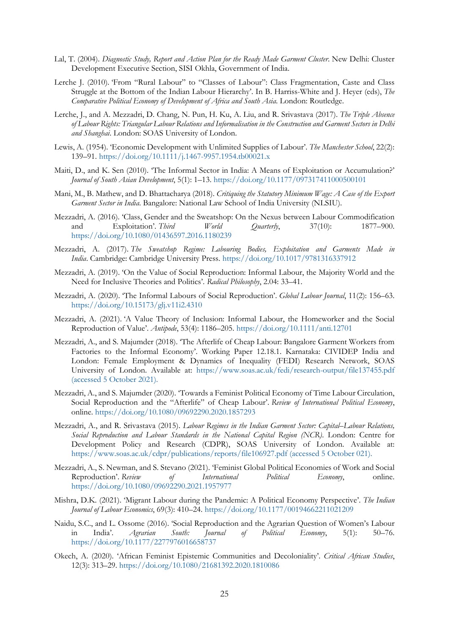- Lal, T. (2004). *Diagnostic Study, Report and Action Plan for the Ready Made Garment Cluster*. New Delhi: Cluster Development Executive Section, SISI Okhla, Government of India.
- Lerche J. (2010). 'From "Rural Labour" to "Classes of Labour": Class Fragmentation, Caste and Class Struggle at the Bottom of the Indian Labour Hierarchy'. In B. Harriss-White and J. Heyer (eds), *The Comparative Political Economy of Development of Africa and South Asia*. London: Routledge.
- Lerche, J., and A. Mezzadri, D. Chang, N. Pun, H. Ku, A. Liu, and R. Srivastava (2017). *The Triple Absence of Labour Rights: Triangular Labour Relations and Informalisation in the Construction and Garment Sectors in Delhi and Shanghai*. London: SOAS University of London.
- Lewis, A. (1954). 'Economic Development with Unlimited Supplies of Labour'. *The Manchester School*, 22(2): 139–91. <https://doi.org/10.1111/j.1467-9957.1954.tb00021.x>
- Maiti, D., and K. Sen (2010). 'The Informal Sector in India: A Means of Exploitation or Accumulation?' *Journal of South Asian Development*, 5(1): 1–13. <https://doi.org/10.1177/097317411000500101>
- Mani, M., B. Mathew, and D. Bhattacharya (2018). *Critiquing the Statutory Minimum Wage: A Case of the Export Garment Sector in India*. Bangalore: National Law School of India University (NLSIU).
- Mezzadri, A. (2016). 'Class, Gender and the Sweatshop: On the Nexus between Labour Commodification and Exploitation'. *Third World Quarterly*, 37(10): 1877–900. <https://doi.org/10.1080/01436597.2016.1180239>
- Mezzadri, A. (2017). *The Sweatshop Regime: Labouring Bodies, Exploitation and Garments Made in India*. Cambridge: Cambridge University Press. <https://doi.org/10.1017/9781316337912>
- Mezzadri, A. (2019). 'On the Value of Social Reproduction: Informal Labour, the Majority World and the Need for Inclusive Theories and Politics'. *Radical Philosophy*, 2.04: 33–41.
- Mezzadri, A. (2020). 'The Informal Labours of Social Reproduction'. *Global Labour Journal*, 11(2): 156–63. <https://doi.org/10.15173/glj.v11i2.4310>
- Mezzadri, A. (2021). 'A Value Theory of Inclusion: Informal Labour, the Homeworker and the Social Reproduction of Value'. *Antipode*, 53(4): 1186–205. <https://doi.org/10.1111/anti.12701>
- Mezzadri, A., and S. Majumder (2018). 'The Afterlife of Cheap Labour: Bangalore Garment Workers from Factories to the Informal Economy'. Working Paper 12.18.1. Karnataka: CIVIDEP India and London: Female Employment & Dynamics of Inequality (FEDI) Research Network, SOAS University of London. Available at: <https://www.soas.ac.uk/fedi/research-output/file137455.pdf> (accessed 5 October 2021).
- Mezzadri, A., and S. Majumder (2020). 'Towards a Feminist Political Economy of Time Labour Circulation, Social Reproduction and the "Afterlife" of Cheap Labour'. *Review of International Political Economy*, online. <https://doi.org/10.1080/09692290.2020.1857293>
- Mezzadri, A., and R. Srivastava (2015). *Labour Regimes in the Indian Garment Sector: Capital–Labour Relations, Social Reproduction and Labour Standards in the National Capital Region (NCR)*. London: Centre for Development Policy and Research (CDPR), SOAS University of London. Available at: <https://www.soas.ac.uk/cdpr/publications/reports/file106927.pdf> (accessed 5 October 021).
- Mezzadri, A., S. Newman, and S. Stevano (2021). 'Feminist Global Political Economies of Work and Social Reproduction'. *Review of International Political Economy*, online. <https://doi.org/10.1080/09692290.2021.1957977>
- Mishra, D.K. (2021). 'Migrant Labour during the Pandemic: A Political Economy Perspective'. *The Indian Journal of Labour Economics*, 69(3): 410–24. <https://doi.org/10.1177/00194662211021209>
- Naidu, S.C., and L. Ossome (2016). 'Social Reproduction and the Agrarian Question of Women's Labour in India'. *Agrarian South: Journal of Political Economy*, 5(1): 50–76. <https://doi.org/10.1177/2277976016658737>
- Okech, A. (2020). 'African Feminist Epistemic Communities and Decoloniality'. *Critical African Studies*, 12(3): 313–29. <https://doi.org/10.1080/21681392.2020.1810086>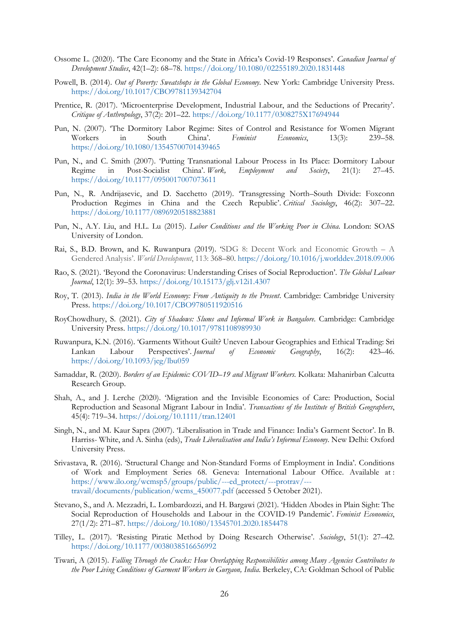- Ossome L. (2020). 'The Care Economy and the State in Africa's Covid-19 Responses'. *Canadian Journal of Development Studies*, 42(1–2): 68–78. <https://doi.org/10.1080/02255189.2020.1831448>
- Powell, B. (2014). *Out of Poverty: Sweatshops in the Global Economy*. New York: Cambridge University Press. <https://doi.org/10.1017/CBO9781139342704>
- Prentice, R. (2017). 'Microenterprise Development, Industrial Labour, and the Seductions of Precarity'. *Critique of Anthropology*, 37(2): 201–22. <https://doi.org/10.1177/0308275X17694944>
- Pun, N. (2007). 'The Dormitory Labor Regime: Sites of Control and Resistance for Women Migrant Workers in South China'. *Feminist Economics*, 13(3): 239–58. <https://doi.org/10.1080/13545700701439465>
- Pun, N., and C. Smith (2007). 'Putting Transnational Labour Process in Its Place: Dormitory Labour Regime in Post-Socialist China'. *Work, Employment and Society*, 21(1): 27–45. <https://doi.org/10.1177/0950017007073611>
- Pun, N., R. Andrijasevic, and D. Sacchetto (2019). 'Transgressing North–South Divide: Foxconn Production Regimes in China and the Czech Republic'. *Critical Sociology*, 46(2): 307–22. <https://doi.org/10.1177/0896920518823881>
- Pun, N., A.Y. Liu, and H.L. Lu (2015). *Labor Conditions and the Working Poor in China*. London: SOAS University of London.
- Rai, S., B.D. Brown, and K. Ruwanpura (2019). 'SDG 8: Decent Work and Economic Growth A Gendered Analysis'. *World Development*, 113: 368–80. <https://doi.org/10.1016/j.worlddev.2018.09.006>
- Rao, S. (2021). 'Beyond the Coronavirus: Understanding Crises of Social Reproduction'. *The Global Labour Journal*, 12(1): 39–53. <https://doi.org/10.15173/glj.v12i1.4307>
- Roy, T. (2013). *India in the World Economy: From Antiquity to the Present*. Cambridge: Cambridge University Press. <https://doi.org/10.1017/CBO9780511920516>
- RoyChowdhury, S. (2021). *City of Shadows: Slums and Informal Work in Bangalore*. Cambridge: Cambridge University Press. <https://doi.org/10.1017/9781108989930>
- Ruwanpura, K.N. (2016). 'Garments Without Guilt? Uneven Labour Geographies and Ethical Trading: Sri Lankan Labour Perspectives'. *Journal of Economic Geography*, 16(2): 423–46. <https://doi.org/10.1093/jeg/lbu059>
- Samaddar, R. (2020). *Borders of an Epidemic: COVID–19 and Migrant Workers*. Kolkata: Mahanirban Calcutta Research Group.
- Shah, A., and J. Lerche (2020). 'Migration and the Invisible Economies of Care: Production, Social Reproduction and Seasonal Migrant Labour in India'. *Transactions of the Institute of British Geographers*, 45(4): 719–34. <https://doi.org/10.1111/tran.12401>
- Singh, N., and M. Kaur Sapra (2007). 'Liberalisation in Trade and Finance: India's Garment Sector'. In B. Harriss- White, and A. Sinha (eds), *Trade Liberalisation and India's Informal Economy*. New Delhi: Oxford University Press.
- Srivastava, R. (2016). 'Structural Change and Non-Standard Forms of Employment in India'. Conditions of Work and Employment Series 68. Geneva: International Labour Office. Available at : [https://www.ilo.org/wcmsp5/groups/public/---ed\\_protect/---protrav/--](https://www.ilo.org/wcmsp5/groups/public/---ed_protect/---protrav/---travail/documents/publication/wcms_450077.pdf) [travail/documents/publication/wcms\\_450077.pdf](https://www.ilo.org/wcmsp5/groups/public/---ed_protect/---protrav/---travail/documents/publication/wcms_450077.pdf) (accessed 5 October 2021).
- Stevano, S., and A. Mezzadri, L. Lombardozzi, and H. Bargawi (2021). 'Hidden Abodes in Plain Sight: The Social Reproduction of Households and Labour in the COVID-19 Pandemic'. *Feminist Economics*, 27(1/2): 271–87. <https://doi.org/10.1080/13545701.2020.1854478>
- Tilley, L. (2017). 'Resisting Piratic Method by Doing Research Otherwise'. *Sociology*, 51(1): 27–42. <https://doi.org/10.1177/0038038516656992>
- Tiwari, A (2015). *Falling Through the Cracks: How Overlapping Responsibilities among Many Agencies Contributes to the Poor Living Conditions of Garment Workers in Gurgaon, India*. Berkeley, CA: Goldman School of Public